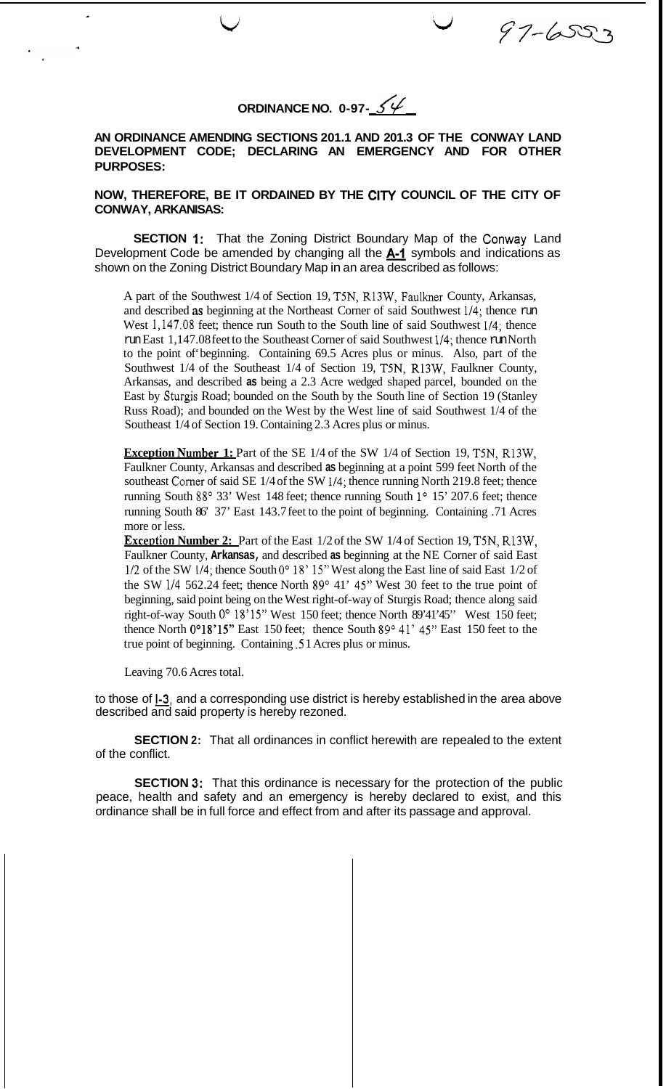**ORDINANCE NO. 0-97-**  $\mathcal{S}\mathcal{L}$ 

 $97 - 6553$ 

**AN ORDINANCE AMENDING SECTIONS 201.1 AND 201.3 OF THE CONWAY LAND DEVELOPMENT CODE; DECLARING AN EMERGENCY AND FOR OTHER PURPOSES:** 

**NOW, THEREFORE, BE IT ORDAINED BY THE CITY COUNCIL OF THE CITY OF CONWAY, ARKANISAS:** 

**SECTION 1:** That the Zoning District Boundary Map of the Conway Land Development Code be amended by changing all the *A-l* symbols and indications as shown on the Zoning District Boundary Map in an area described as follows:

A part of the Southwest 1/4 of Section 19, T5N, R13W, Faulkner County, Arkansas, and described as beginning at the Northeast Corner of said Southwest 1/4; thence run West 1,147.08 feet; thence run South to the South line of said Southwest 1/4; thence run East 1,147.08 feet to the Southeast Corner of said Southwest 1/4; thence run North to the point of' beginning. Containing 69.5 Acres plus or minus. Also, part of the Southwest 1/4 of the Southeast 1/4 of Section 19, T5N, R13W, Faulkner County, Arkansas, and described **as** being a 2.3 Acre wedged shaped parcel, bounded on the East by Sturgis Road; bounded on the South by the South line of Section 19 (Stanley Russ Road); and bounded on the West by the West line of said Southwest 1/4 of the Southeast 1/4 of Section 19. Containing 2.3 Acres plus or minus.

**Exception Number 1:** Part of the SE 1/4 of the SW 1/4 of Section 19, T5N, R13W, Faulkner County, Arkansas and described **as** beginning at a point 599 feet North of the southeast Corner of said SE 1/4 of the SW 1/4; thence running North 219.8 feet; thence running South 88° 33' West 148 feet; thence running South 1° 15' 207.6 feet; thence running South 86' 37' East 143.7 feet to the point of beginning. Containing .71 Acres more or less.

**Exception Number 2:** Part of the East 1/2 of the SW 1/4 of Section 19, T5N, R13W, Faulkner County, **Arkansas,** and described **as** beginning at the NE Corner of said East  $1/2$  of the SW  $1/4$ ; thence South 0°  $18'$  15" West along the East line of said East 1/2 of the SW 1/4 562.24 feet; thence North  $89^{\circ}$  41' 45" West 30 feet to the true point of beginning, said point being on the West right-of-way of Sturgis Road; thence along said right-of-way South 0° 18'15" West 150 feet; thence North 89'41'45" West 150 feet; thence North  $0^{\circ}18'15''$  East 150 feet; thence South  $89^{\circ}$  41' 45" East 150 feet to the true point of beginning. Containing *.5* 1 Acres plus or minus.

Leaving 70.6 Acres total.

to those of **l-3,** and a corresponding use district is hereby established in the area above described and said property is hereby rezoned.

**SECTION 2:** That all ordinances in conflict herewith are repealed to the extent of the conflict.

**SECTION 3:** That this ordinance is necessary for the protection of the public peace, health and safety and an emergency is hereby declared to exist, and this ordinance shall be in full force and effect from and after its passage and approval.